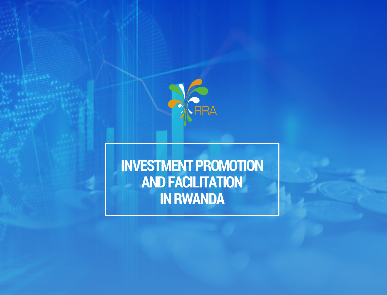

# **INVESTMENT PROMOTION AND FACILITATION IN RWANDA**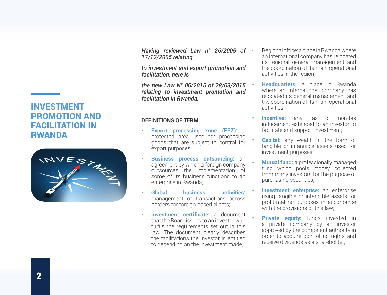## INVESTMENT PROMOTION AND FACILITATION IN **RWANDA**



*Having reviewed Law n° 26/2005 of 17/12/2005 relating*

*to investment and export promotion and facilitation, here is*

*the new Law N° 06/2015 of 28/03/2015 relating to investment promotion and facilitation in Rwanda.*

#### **DEFINITIONS OF TERM**

- **Export processing zone (EPZ): a** protected area used for processing goods that are subject to control for export purposes;
- **• Business process outsourcing:** an agreement by which a foreign company outsources the implementation of some of its business functions to an enterprise in Rwanda;
- **• Global business activities:** management of transactions across borders for foreign-based clients;
- **• Investment certificate:** a document that the Board issues to an investor who fulfils the requirements set out in this law. The document clearly describes the facilitations the investor is entitled to depending on the investment made;
- Regional office: a place in Rwanda where an international company has relocated its regional general management and the coordination of its main operational activities in the region;
- **• Headquarters:** a place in Rwanda where an international company has relocated its general management and the coordination of its main operational activities ;
- **Incentive:** any tax or non-tax inducement extended to an investor to facilitate and support investment;
- **Capital:** any wealth in the form of tangible or intangible assets used for investment purposes;
- **• Mutual fund:** a professionally managed fund which pools money collected from many investors for the purpose of purchasing securities;
- **Investment enterprise:** an enterprise using tangible or intangible assets for profit-making purposes in accordance with the provisions of this law;
- **Private equity:** funds invested in a private company by an investor approved by the competent authority in order to acquire controlling rights and receive dividends as a shareholder;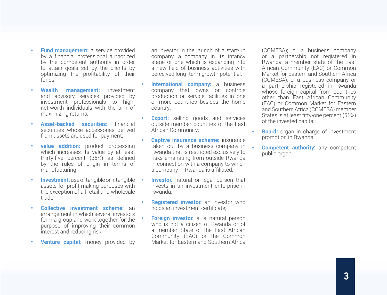- **• Fund management:** a service provided by a financial professional authorized by the competent authority in order to attain goals set by the clients by optimizing the profitability of their funds;
- **Wealth management:** investment and advisory services provided by investment professionals to highnet-worth individuals with the aim of maximizing returns;
- **Asset-backed securities:** financial securities whose accessories derived from assets are used for payment;
- **value addition:** product processing which increases its value by at least thirty-five percent (35%) as defined by the rules of origin in terms of manufacturing;
- **• Investment:** use of tangible or intangible assets for profit-making purposes with the exception of all retail and wholesale trade;
- **• Collective investment scheme:** an arrangement in which several investors form a group and work together for the purpose of improving their common interest and reducing risk;
- **• Venture capital:** money provided by

an investor in the launch of a start-up company, a company in its infancy stage or one which is expanding into a new field of business activities with perceived long- term growth potential;

- **International company:** a business company that owns or controls production or service facilities in one or more countries besides the home country;
- **Export:** selling goods and services outside member countries of the East African Community;
- **Captive insurance scheme:** insurance taken out by a business company in . Rwanda that is restricted exclusively to risks emanating from outside Rwanda in connection with a company to which a company in Rwanda is affiliated;
- **Investor:** natural or legal person that invests in an investment enterprise in Rwanda;
- **Registered investor:** an investor who holds an investment certificate;
- **• Foreign investor:** a. a natural person who is not a citizen of Rwanda or of a member State of the East African Community (EAC) or the Common Market for Eastern and Southern Africa

(COMESA); b. a business company or a partnership not registered in Rwanda, a member state of the East African Community (EAC) or Common Market for Eastern and Southern Africa (COMESA); c. a business company or a partnership registered in Rwanda whose foreign capital from countries other than East African Community (EAC) or Common Market for Eastern and Southern Africa (COMESA) member States is at least fifty-one percent (51%) of the invested capital;

- **Board:** organ in charge of investment promotion in Rwanda;
- **Competent authority:** any competent public organ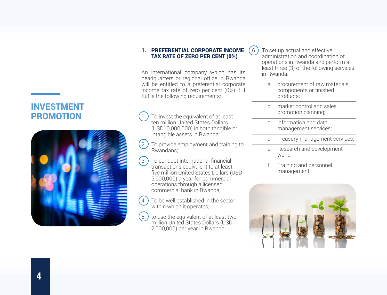#### 1. PREFERENTIAL CORPORATE INCOME TAX RATE OF ZERO PER CENT (0%)

An international company which has its headquarters or regional office in Rwanda will be entitled to a preferential corporate income tax rate of zero per cent (0%) if it fulfils the following requirements:

- To invest the equivalent of at least ten million United States Dollars (USD10,000,000) in both tangible or intangible assets in Rwanda;
- $(2)$  To provide employment and training to Rwandans:
- 3. To conduct international financial transactions equivalent to at least five million United States Dollars (USD 5,000,000) a year for commercial operations through a licensed commercial bank in Rwanda;
- $(4)$  To be well established in the sector within which it operates;
- $(5. )$  to use the equivalent of at least two million United States Dollars (USD 2,000,000) per year in Rwanda;

 $(6)$  To set up actual and effective administration and coordination of operations in Rwanda and perform at least three (3) of the following services in Rwanda:

- a. procurement of raw materials, components or finished products;
- b. market control and sales promotion planning;
- c. information and data management services;
- d. Treasury management services;
- e. Research and development work;
- f. Training and personnel management



## INVESTMENT PROMOTION

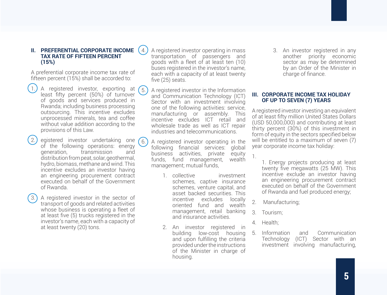#### **II. PREFERENTIAL CORPORATE INCOME TAX RATE OF FIFTEEN PERCENT (15%)**

A preferential corporate income tax rate of fifteen percent (15%) shall be accorded to:

- 1. A registered investor, exporting at least fifty percent (50%) of turnover of goods and services produced in Rwanda; including business processing outsourcing. This incentive excludes unprocessed minerals, tea and coffee without value addition according to the provisions of this Law.
- egistered investor undertaking one of the following operations: energy generation, transmission and distribution from peat, solar, geothermal, hydro, biomass, methane and wind. This incentive excludes an investor having an engineering procurement contract executed on behalf of the Government of Rwanda.
- 3. A registered investor in the sector of transport of goods and related activities whose business is operating a fleet of at least five (5) trucks registered in the investor's name, each with a capacity of at least twenty (20) tons.

4. A registered investor operating in mass transportation of passengers and goods with a fleet of at least ten (10) buses registered in the investor's name, each with a capacity of at least twenty five (25) seats.

- $(5)$  A registered investor in the Information and Communication Technology (ICT) Sector with an investment involving one of the following activities: service, manufacturing or assembly. This incentive excludes ICT retail and wholesale trade as well as ICT repair industries and telecommunications.
- $(6)$  A registered investor operating in the following financial services: global business activities, private equity funds, fund management, wealth management; mutual funds,
	- 1. collective investment schemes, captive insurance schemes, venture capital, and asset backed securities. This incentive excludes locally oriented fund and wealth management, retail banking and insurance activities.
	- 2. An investor registered in building low-cost housing and upon fulfilling the criteria provided under the instructions of the Minister in charge of housing.

3. An investor registered in any another priority economic sector as may be determined by an Order of the Minister in charge of finance.

#### **III. CORPORATE INCOME TAX HOLIDAY OF UP TO SEVEN (7) YEARS**

A registered investor investing an equivalent of at least fifty million United States Dollars  $(USD 50.000, 000)$  and contributing at least thirty percent (30%) of this investment in form of equity in the sectors specified below will be entitled to a maximum of seven (7) year corporate income tax holiday:

1.

1. Energy projects producing at least twenty five megawatts (25 MW). This incentive exclude an investor having an engineering procurement contract executed on behalf of the Government of Rwanda and fuel produced energy;

- 2. Manufacturing;
- 3. Tourism;
- 4. Health;
- 5. Information and Communication Technology (ICT) Sector with an investment involving manufacturing,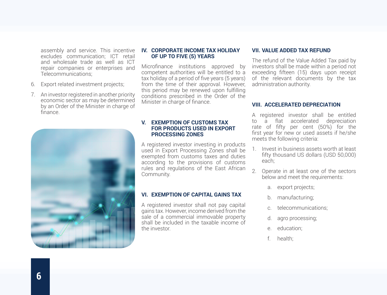assembly and service. This incentive excludes communication; ICT retail and wholesale trade as well as ICT repair companies or enterprises and Telecommunications;

- 6. Export related investment projects;
- 7. An investor registered in another priority economic sector as may be determined by an Order of the Minister in charge of finance.



#### **IV. CORPORATE INCOME TAX HOLIDAY OF UP TO FIVE (5) YEARS**

Microfinance institutions approved by competent authorities will be entitled to a tax holiday of a period of five years (5 years) from the time of their approval. However, this period may be renewed upon fulfilling conditions prescribed in the Order of the Minister in charge of finance.

#### **V. EXEMPTION OF CUSTOMS TAX FOR PRODUCTS USED IN EXPORT PROCESSING ZONES**

A registered investor investing in products used in Export Processing Zones shall be exempted from customs taxes and duties according to the provisions of customs rules and regulations of the East African Community.

#### **VI. EXEMPTION OF CAPITAL GAINS TAX**

A registered investor shall not pay capital gains tax. However, income derived from the sale of a commercial immovable property shall be included in the taxable income of the investor.

#### **VII. VALUE ADDED TAX REFUND**

The refund of the Value Added Tax paid by investors shall be made within a period not exceeding fifteen (15) days upon receipt of the relevant documents by the tax administration authority.

#### **VIII. ACCELERATED DEPRECIATION**

A registered investor shall be entitled to a flat accelerated depreciation rate of fifty per cent (50%) for the first year for new or used assets if he/she meets the following criteria:

- 1. Invest in business assets worth at least fifty thousand US dollars (USD 50,000) each;
- 2. Operate in at least one of the sectors below and meet the requirements:
	- a. export projects;
	- b. manufacturing;
	- telecommunications:
	- d. agro processing;
	- e. education;
	- f. health;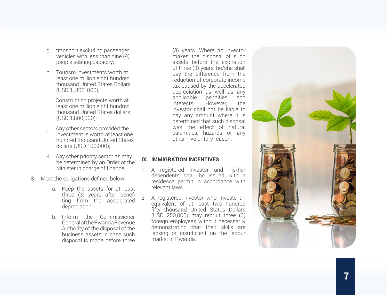- g transport excluding passenger vehicles with less than nine (9) people seating capacity;
- h Tourism investments worth at least one million eight hundred thousand United States Dollars (USD 1, 800, 000);
- Construction projects worth at least one million eight hundred thousand United States dollars (USD 1,800,000);
- Any other sectors provided the investment is worth at least one hundred thousand United States dollars (USD 100,000);
- k Any other priority sector as may be determined by an Order of the Minister in charge of finance;
- 3. Meet the obligations defined below:
	- a. Keep the assets for at least three (3) years after benefi ting from the accelerated depreciation;
	- b. Inform the Commissioner General of the Rwanda Revenue Authority of the disposal of the business assets in case such disposal is made before three

(3) years. Where an investor makes the disposal of such assets before the expiration of three (3) years, he/she shall pay the difference from the reduction of corporate income tax caused by the accelerated depreciation as well as any applicable penalties and<br>interests. However, the interests. However, the investor shall not be liable to pay any amount where it is determined that such disposal was the effect of natural calamities, hazards or any other involuntary reason.

### **IX. IMMIGRATION INCENTIVES**

- 1. A registered investor and his/her dependents shall be issued with a residence permit in accordance with relevant laws.
- 2. A registered investor who invests an equivalent of at least two hundred fifty thousand United States Dollars (USD 250,000) may recruit three (3) foreign employees without necessarily demonstrating that their skills are lacking or insufficient on the labour market in Rwanda.